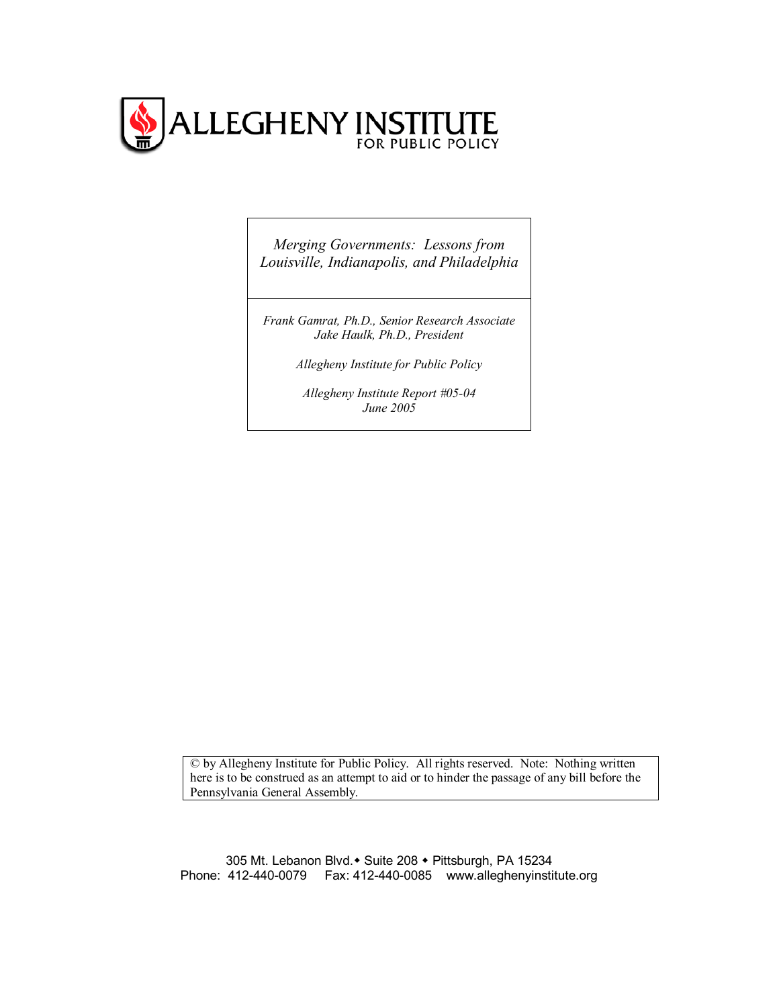

*Merging Governments: Lessons from Louisville, Indianapolis, and Philadelphia*

*Frank Gamrat, Ph.D., Senior Research Associate Jake Haulk, Ph.D., President* 

*Allegheny Institute for Public Policy* 

*Allegheny Institute Report #05-04 June 2005*

© by Allegheny Institute for Public Policy. All rights reserved. Note: Nothing written here is to be construed as an attempt to aid or to hinder the passage of any bill before the Pennsylvania General Assembly.

305 Mt. Lebanon Blvd. • Suite 208 · Pittsburgh, PA 15234 Phone: 412-440-0079 Fax: 412-440-0085 www.alleghenyinstitute.org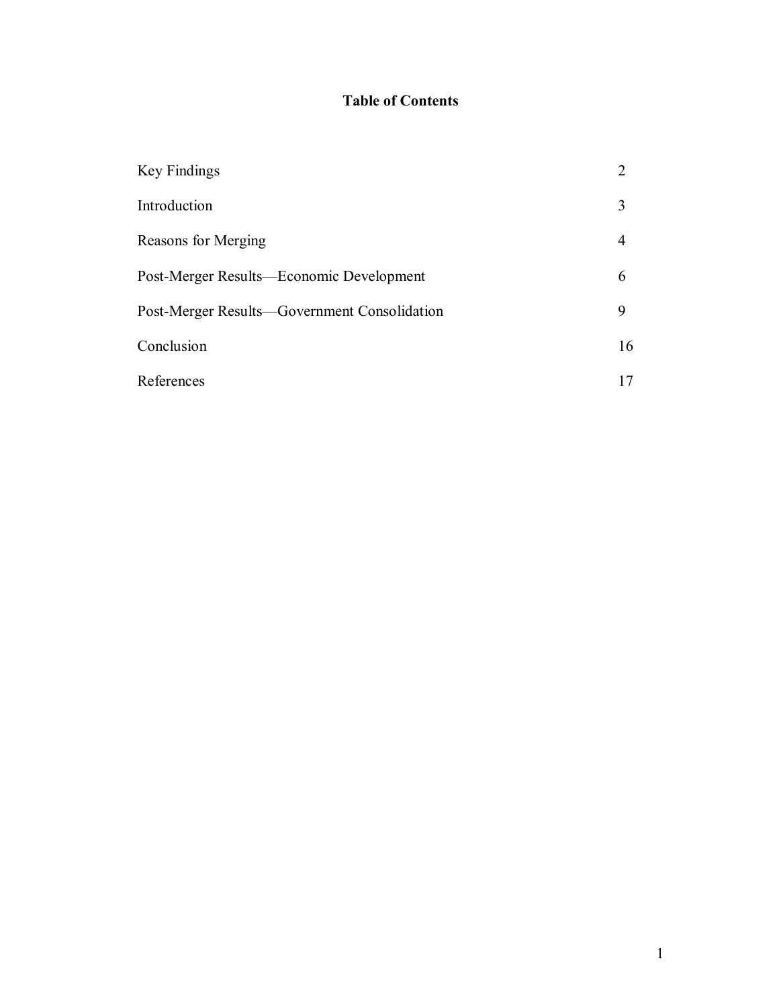# **Table of Contents**

| Key Findings                                 | $\mathcal{D}_{\mathcal{A}}$ |
|----------------------------------------------|-----------------------------|
| Introduction                                 | 3                           |
| Reasons for Merging                          | 4                           |
| Post-Merger Results—Economic Development     | 6                           |
| Post-Merger Results—Government Consolidation | 9                           |
| Conclusion                                   | 16                          |
| References                                   |                             |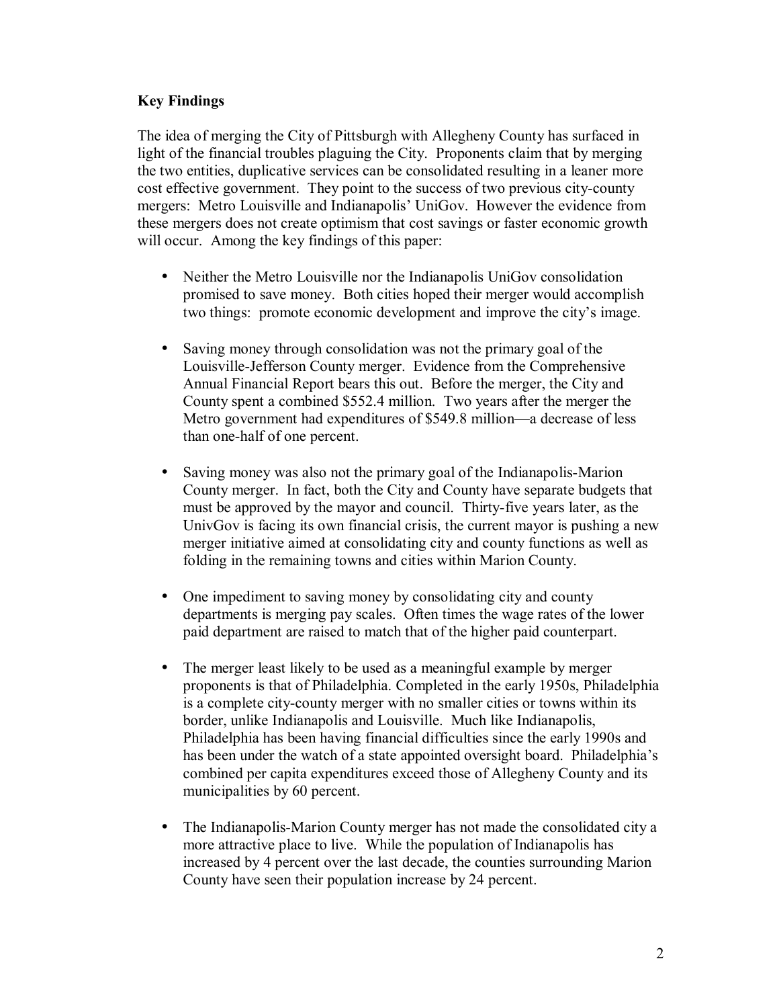# **Key Findings**

The idea of merging the City of Pittsburgh with Allegheny County has surfaced in light of the financial troubles plaguing the City. Proponents claim that by merging the two entities, duplicative services can be consolidated resulting in a leaner more cost effective government. They point to the success of two previous city-county mergers: Metro Louisville and Indianapolis' UniGov. However the evidence from these mergers does not create optimism that cost savings or faster economic growth will occur. Among the key findings of this paper:

- Neither the Metro Louisville nor the Indianapolis UniGov consolidation promised to save money. Both cities hoped their merger would accomplish two things: promote economic development and improve the city's image.
- Saving money through consolidation was not the primary goal of the Louisville-Jefferson County merger. Evidence from the Comprehensive Annual Financial Report bears this out. Before the merger, the City and County spent a combined \$552.4 million. Two years after the merger the Metro government had expenditures of \$549.8 million—a decrease of less than one-half of one percent.
- Saving money was also not the primary goal of the Indianapolis-Marion County merger. In fact, both the City and County have separate budgets that must be approved by the mayor and council. Thirty-five years later, as the UnivGov is facing its own financial crisis, the current mayor is pushing a new merger initiative aimed at consolidating city and county functions as well as folding in the remaining towns and cities within Marion County.
- One impediment to saving money by consolidating city and county departments is merging pay scales. Often times the wage rates of the lower paid department are raised to match that of the higher paid counterpart.
- The merger least likely to be used as a meaningful example by merger proponents is that of Philadelphia. Completed in the early 1950s, Philadelphia is a complete city-county merger with no smaller cities or towns within its border, unlike Indianapolis and Louisville. Much like Indianapolis, Philadelphia has been having financial difficulties since the early 1990s and has been under the watch of a state appointed oversight board. Philadelphia's combined per capita expenditures exceed those of Allegheny County and its municipalities by 60 percent.
- The Indianapolis-Marion County merger has not made the consolidated city a more attractive place to live. While the population of Indianapolis has increased by 4 percent over the last decade, the counties surrounding Marion County have seen their population increase by 24 percent.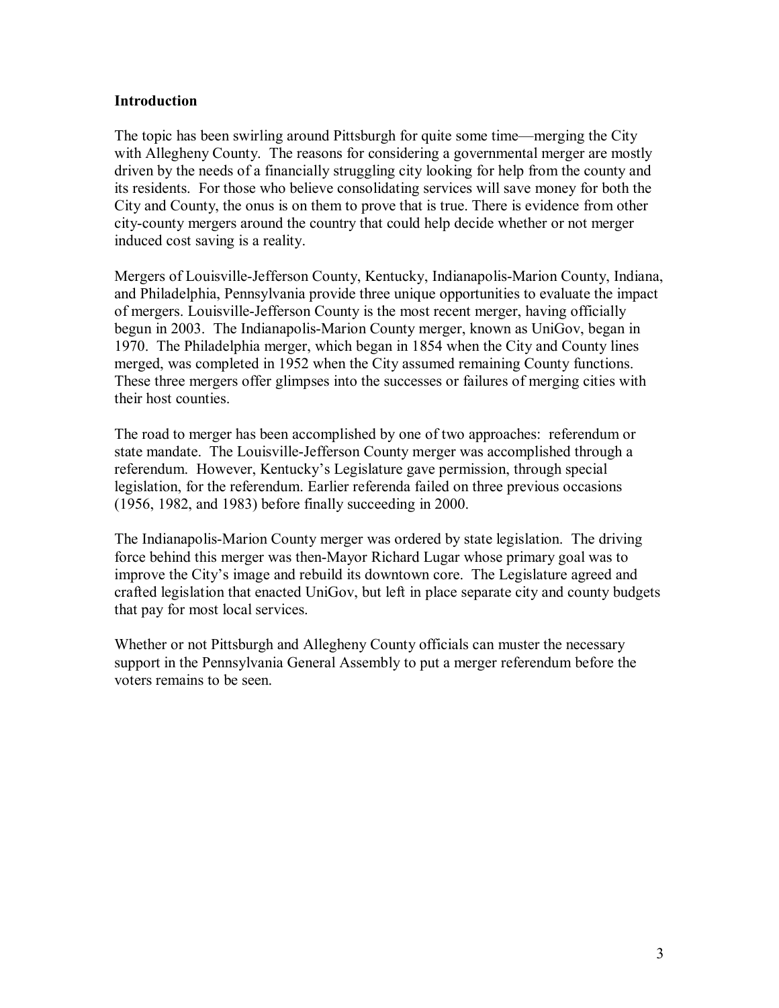#### **Introduction**

The topic has been swirling around Pittsburgh for quite some time—merging the City with Allegheny County. The reasons for considering a governmental merger are mostly driven by the needs of a financially struggling city looking for help from the county and its residents. For those who believe consolidating services will save money for both the City and County, the onus is on them to prove that is true. There is evidence from other city-county mergers around the country that could help decide whether or not merger induced cost saving is a reality.

Mergers of Louisville-Jefferson County, Kentucky, Indianapolis-Marion County, Indiana, and Philadelphia, Pennsylvania provide three unique opportunities to evaluate the impact of mergers. Louisville-Jefferson County is the most recent merger, having officially begun in 2003. The Indianapolis-Marion County merger, known as UniGov, began in 1970. The Philadelphia merger, which began in 1854 when the City and County lines merged, was completed in 1952 when the City assumed remaining County functions. These three mergers offer glimpses into the successes or failures of merging cities with their host counties.

The road to merger has been accomplished by one of two approaches: referendum or state mandate. The Louisville-Jefferson County merger was accomplished through a referendum. However, Kentucky's Legislature gave permission, through special legislation, for the referendum. Earlier referenda failed on three previous occasions (1956, 1982, and 1983) before finally succeeding in 2000.

The Indianapolis-Marion County merger was ordered by state legislation. The driving force behind this merger was then-Mayor Richard Lugar whose primary goal was to improve the City's image and rebuild its downtown core. The Legislature agreed and crafted legislation that enacted UniGov, but left in place separate city and county budgets that pay for most local services.

Whether or not Pittsburgh and Allegheny County officials can muster the necessary support in the Pennsylvania General Assembly to put a merger referendum before the voters remains to be seen.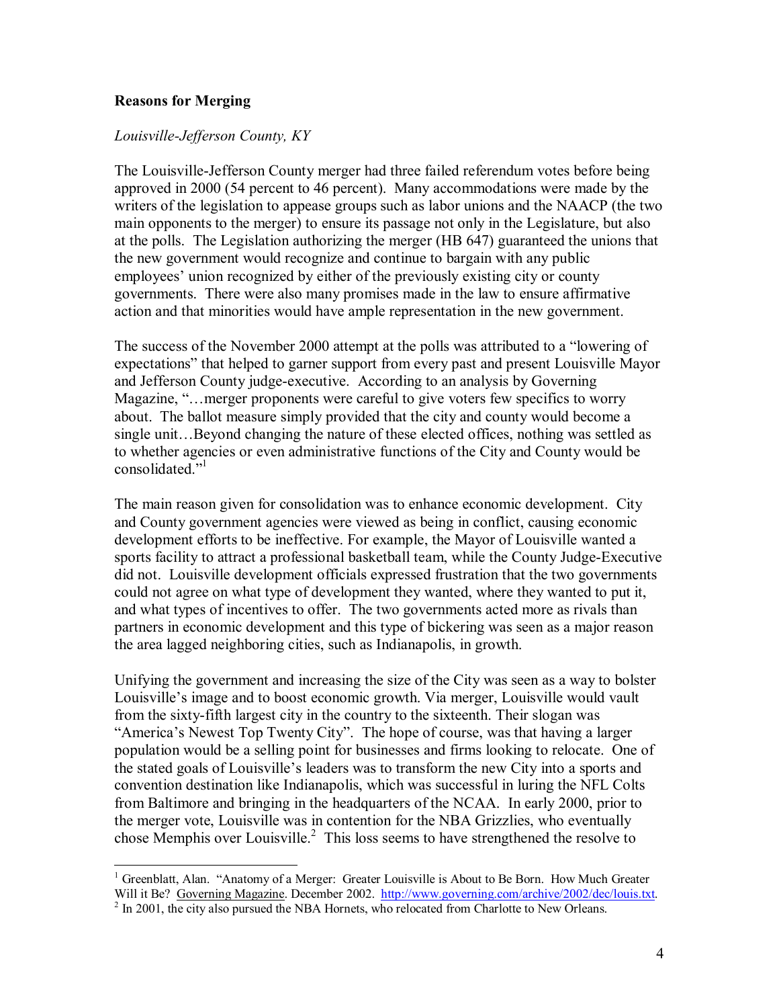#### **Reasons for Merging**

 $\overline{a}$ 

#### *Louisville-Jefferson County, KY*

The Louisville-Jefferson County merger had three failed referendum votes before being approved in 2000 (54 percent to 46 percent). Many accommodations were made by the writers of the legislation to appease groups such as labor unions and the NAACP (the two main opponents to the merger) to ensure its passage not only in the Legislature, but also at the polls. The Legislation authorizing the merger (HB 647) guaranteed the unions that the new government would recognize and continue to bargain with any public employees' union recognized by either of the previously existing city or county governments. There were also many promises made in the law to ensure affirmative action and that minorities would have ample representation in the new government.

The success of the November 2000 attempt at the polls was attributed to a "lowering of expectations" that helped to garner support from every past and present Louisville Mayor and Jefferson County judge-executive. According to an analysis by Governing Magazine, "... merger proponents were careful to give voters few specifics to worry about. The ballot measure simply provided that the city and county would become a single unit...Beyond changing the nature of these elected offices, nothing was settled as to whether agencies or even administrative functions of the City and County would be consolidated."<sup>1</sup>

The main reason given for consolidation was to enhance economic development. City and County government agencies were viewed as being in conflict, causing economic development efforts to be ineffective. For example, the Mayor of Louisville wanted a sports facility to attract a professional basketball team, while the County Judge-Executive did not. Louisville development officials expressed frustration that the two governments could not agree on what type of development they wanted, where they wanted to put it, and what types of incentives to offer. The two governments acted more as rivals than partners in economic development and this type of bickering was seen as a major reason the area lagged neighboring cities, such as Indianapolis, in growth.

Unifying the government and increasing the size of the City was seen as a way to bolster Louisville's image and to boost economic growth. Via merger, Louisville would vault from the sixty-fifth largest city in the country to the sixteenth. Their slogan was "America's Newest Top Twenty City". The hope of course, was that having a larger population would be a selling point for businesses and firms looking to relocate. One of the stated goals of Louisville's leaders was to transform the new City into a sports and convention destination like Indianapolis, which was successful in luring the NFL Colts from Baltimore and bringing in the headquarters of the NCAA. In early 2000, prior to the merger vote, Louisville was in contention for the NBA Grizzlies, who eventually chose Memphis over Louisville.<sup>2</sup> This loss seems to have strengthened the resolve to

<sup>&</sup>lt;sup>1</sup> Greenblatt, Alan. "Anatomy of a Merger: Greater Louisville is About to Be Born. How Much Greater Will it Be? Governing Magazine. December 2002. http://www.governing.com/archive/2002/dec/louis.txt.<sup>2</sup> In 2001, the city also pursued the NBA Hornets, who relocated from Charlotte to New Orleans.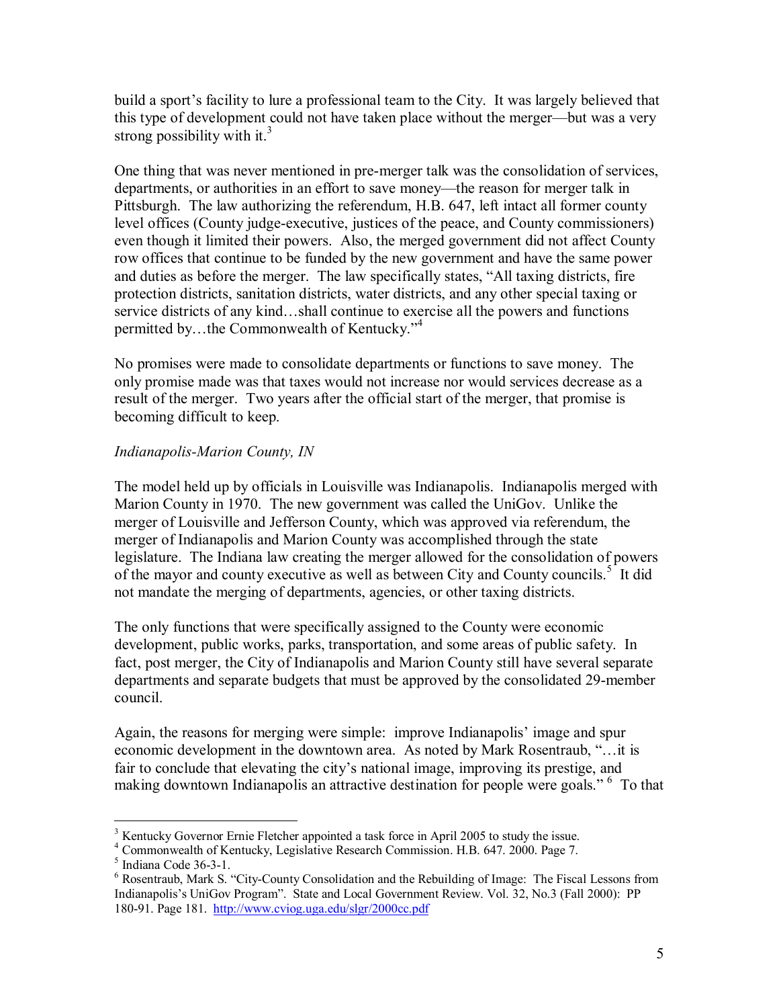build a sport's facility to lure a professional team to the City. It was largely believed that this type of development could not have taken place without the merger—but was a very strong possibility with it.<sup>3</sup>

One thing that was never mentioned in pre-merger talk was the consolidation of services, departments, or authorities in an effort to save money—the reason for merger talk in Pittsburgh. The law authorizing the referendum, H.B. 647, left intact all former county level offices (County judge-executive, justices of the peace, and County commissioners) even though it limited their powers. Also, the merged government did not affect County row offices that continue to be funded by the new government and have the same power and duties as before the merger. The law specifically states, "All taxing districts, fire protection districts, sanitation districts, water districts, and any other special taxing or service districts of any kind...shall continue to exercise all the powers and functions permitted by...the Commonwealth of Kentucky.<sup>74</sup>

No promises were made to consolidate departments or functions to save money. The only promise made was that taxes would not increase nor would services decrease as a result of the merger. Two years after the official start of the merger, that promise is becoming difficult to keep.

# *Indianapolis-Marion County, IN*

The model held up by officials in Louisville was Indianapolis. Indianapolis merged with Marion County in 1970. The new government was called the UniGov. Unlike the merger of Louisville and Jefferson County, which was approved via referendum, the merger of Indianapolis and Marion County was accomplished through the state legislature. The Indiana law creating the merger allowed for the consolidation of powers of the mayor and county executive as well as between City and County councils.<sup>5</sup> It did not mandate the merging of departments, agencies, or other taxing districts.

The only functions that were specifically assigned to the County were economic development, public works, parks, transportation, and some areas of public safety. In fact, post merger, the City of Indianapolis and Marion County still have several separate departments and separate budgets that must be approved by the consolidated 29-member council.

Again, the reasons for merging were simple: improve Indianapolis' image and spur economic development in the downtown area. As noted by Mark Rosentraub, "... it is fair to conclude that elevating the city's national image, improving its prestige, and making downtown Indianapolis an attractive destination for people were goals."<sup>6</sup> To that

 $\overline{a}$ <sup>3</sup> Kentucky Governor Ernie Fletcher appointed a task force in April 2005 to study the issue.

<sup>4</sup> Commonwealth of Kentucky, Legislative Research Commission. H.B. 647. 2000. Page 7.

<sup>5</sup> Indiana Code 36-3-1.

 $6$  Rosentraub, Mark S. "City-County Consolidation and the Rebuilding of Image: The Fiscal Lessons from Indianapolis's UniGov Program". State and Local Government Review. Vol. 32, No.3 (Fall 2000): PP 180-91. Page 181. http://www.cviog.uga.edu/slgr/2000cc.pdf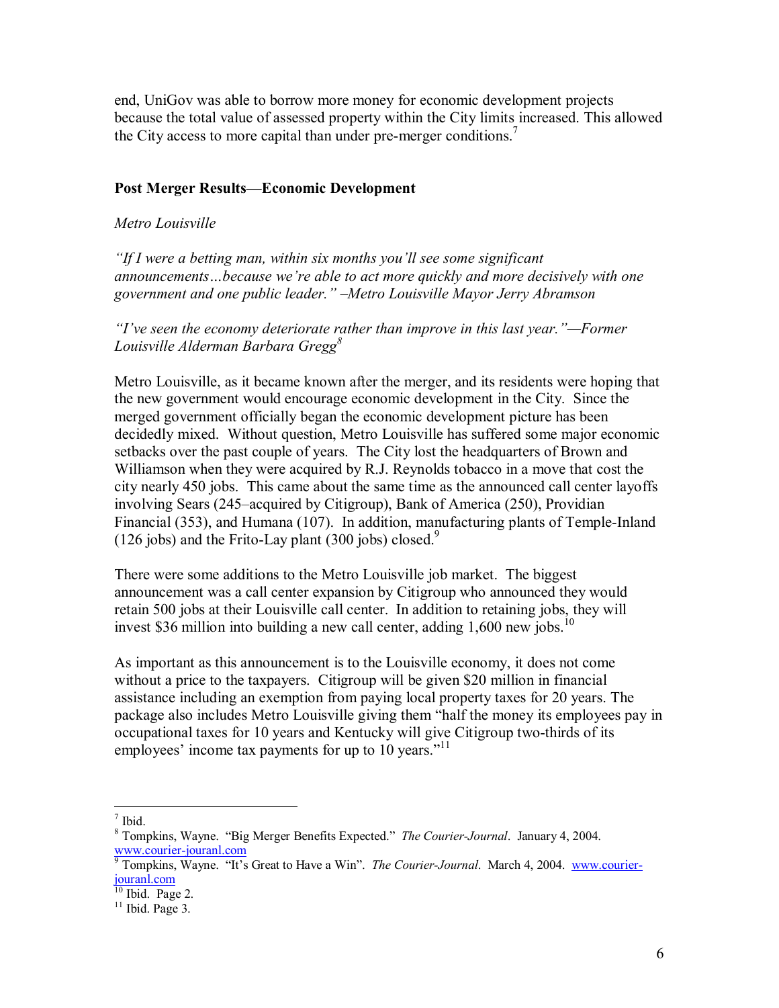end, UniGov was able to borrow more money for economic development projects because the total value of assessed property within the City limits increased. This allowed the City access to more capital than under pre-merger conditions.<sup>7</sup>

## **Post Merger Results—Economic Development**

#### *Metro Louisville*

*<sup>1</sup>If I were a betting man, within six months you'll see some significant* announcements...because we're able to act more quickly and more decisively with one government and one public leader." –Metro Louisville Mayor Jerry Abramson

*<sup><i>iI*</sup>ve seen the economy deteriorate rather than improve in this last year. *"*—Former *Louisville Alderman Barbara Gregg<sup>8</sup>*

Metro Louisville, as it became known after the merger, and its residents were hoping that the new government would encourage economic development in the City. Since the merged government officially began the economic development picture has been decidedly mixed. Without question, Metro Louisville has suffered some major economic setbacks over the past couple of years. The City lost the headquarters of Brown and Williamson when they were acquired by R.J. Reynolds tobacco in a move that cost the city nearly 450 jobs. This came about the same time as the announced call center layoffs involving Sears (245–acquired by Citigroup), Bank of America (250), Providian Financial (353), and Humana (107). In addition, manufacturing plants of Temple-Inland (126 jobs) and the Frito-Lay plant (300 jobs) closed.<sup>9</sup>

There were some additions to the Metro Louisville job market. The biggest announcement was a call center expansion by Citigroup who announced they would retain 500 jobs at their Louisville call center. In addition to retaining jobs, they will invest \$36 million into building a new call center, adding  $1,600$  new jobs.<sup>10</sup>

As important as this announcement is to the Louisville economy, it does not come without a price to the taxpayers. Citigroup will be given \$20 million in financial assistance including an exemption from paying local property taxes for 20 years. The package also includes Metro Louisville giving them "half the money its employees pay in occupational taxes for 10 years and Kentucky will give Citigroup two-thirds of its employees' income tax payments for up to 10 years. $11$ 

 $\frac{1}{7}$  Ibid.

<sup>&</sup>lt;sup>8</sup> Tompkins, Wayne. "Big Merger Benefits Expected." *The Courier-Journal*. January 4, 2004.

www.courier-jouranl.com<br><sup>9</sup> Tompkins, Wayne. "It's Great to Have a Win". *The Courier-Journal*. March 4, 2004. www.courierjouranl.com

 $10$  Ibid. Page 2.

 $11$  Ibid. Page 3.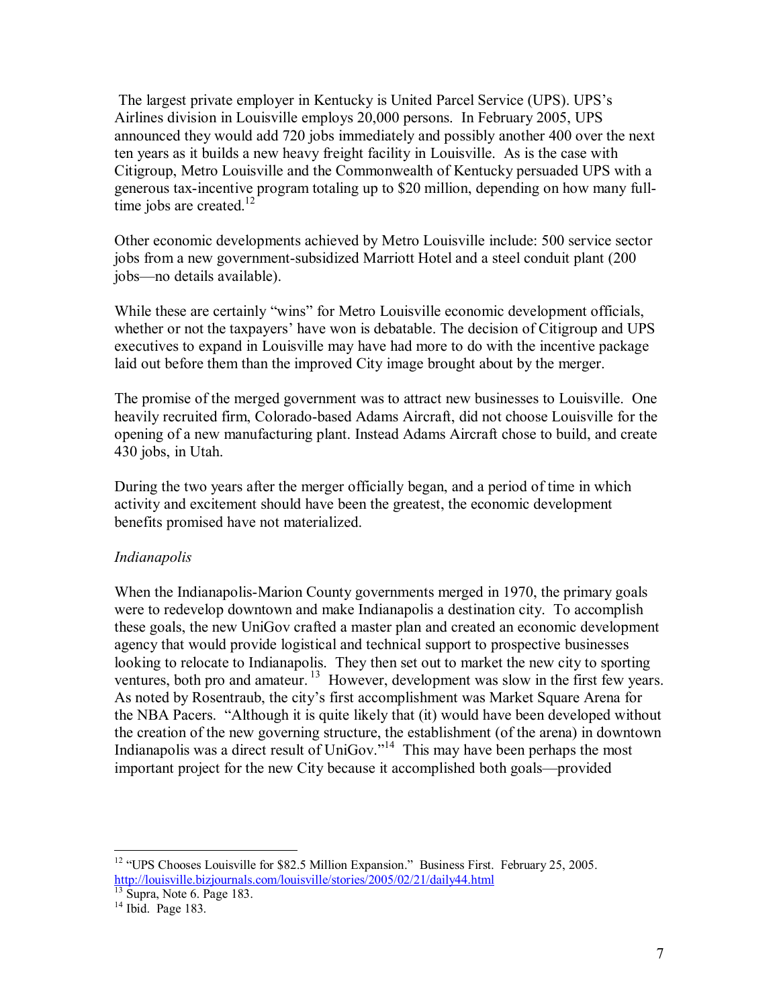The largest private employer in Kentucky is United Parcel Service (UPS). UPSís Airlines division in Louisville employs 20,000 persons. In February 2005, UPS announced they would add 720 jobs immediately and possibly another 400 over the next ten years as it builds a new heavy freight facility in Louisville. As is the case with Citigroup, Metro Louisville and the Commonwealth of Kentucky persuaded UPS with a generous tax-incentive program totaling up to \$20 million, depending on how many fulltime jobs are created. $12$ 

Other economic developments achieved by Metro Louisville include: 500 service sector jobs from a new government-subsidized Marriott Hotel and a steel conduit plant (200 jobs—no details available).

While these are certainly "wins" for Metro Louisville economic development officials, whether or not the taxpayers' have won is debatable. The decision of Citigroup and UPS executives to expand in Louisville may have had more to do with the incentive package laid out before them than the improved City image brought about by the merger.

The promise of the merged government was to attract new businesses to Louisville. One heavily recruited firm, Colorado-based Adams Aircraft, did not choose Louisville for the opening of a new manufacturing plant. Instead Adams Aircraft chose to build, and create 430 jobs, in Utah.

During the two years after the merger officially began, and a period of time in which activity and excitement should have been the greatest, the economic development benefits promised have not materialized.

# *Indianapolis*

When the Indianapolis-Marion County governments merged in 1970, the primary goals were to redevelop downtown and make Indianapolis a destination city. To accomplish these goals, the new UniGov crafted a master plan and created an economic development agency that would provide logistical and technical support to prospective businesses looking to relocate to Indianapolis. They then set out to market the new city to sporting ventures, both pro and amateur.<sup>13</sup> However, development was slow in the first few years. As noted by Rosentraub, the city's first accomplishment was Market Square Arena for the NBA Pacers. "Although it is quite likely that (it) would have been developed without the creation of the new governing structure, the establishment (of the arena) in downtown Indianapolis was a direct result of UniGov.<sup> $14$ </sup> This may have been perhaps the most important project for the new City because it accomplished both goals—provided

 $\overline{a}$  $12$  "UPS Chooses Louisville for \$82.5 Million Expansion." Business First. February 25, 2005. http://louisville.bizjournals.com/louisville/stories/2005/02/21/daily44.html 13 Supra, Note 6. Page 183.

 $14$  Ibid. Page 183.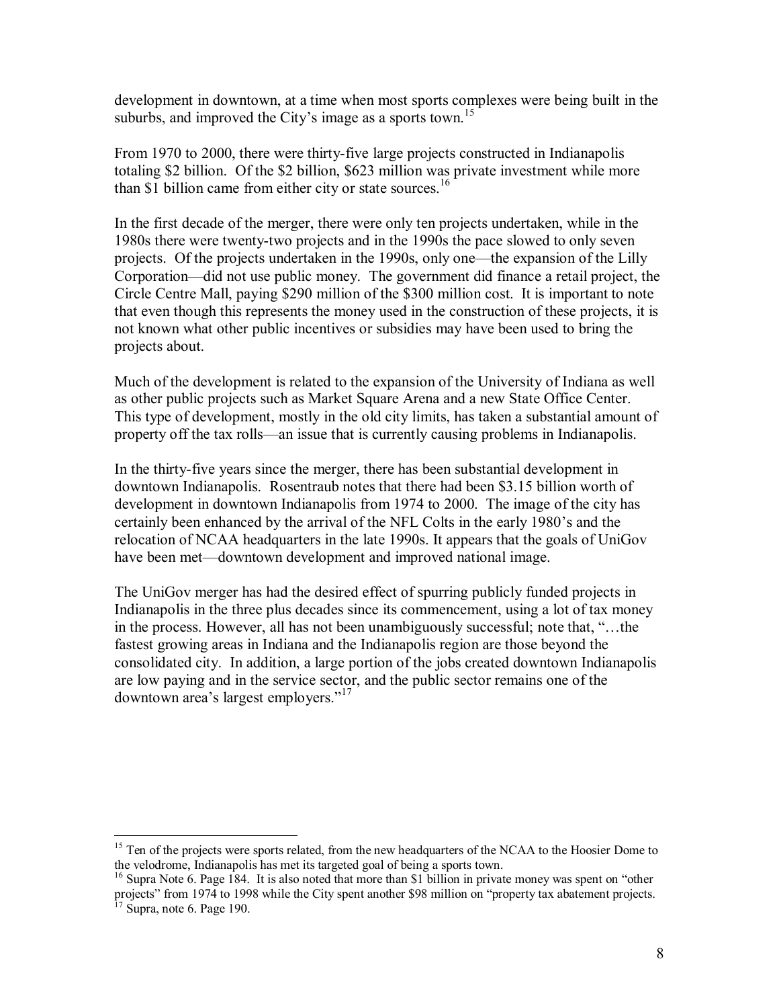development in downtown, at a time when most sports complexes were being built in the suburbs, and improved the City's image as a sports town.<sup>15</sup>

From 1970 to 2000, there were thirty-five large projects constructed in Indianapolis totaling \$2 billion. Of the \$2 billion, \$623 million was private investment while more than \$1 billion came from either city or state sources.<sup>16</sup>

In the first decade of the merger, there were only ten projects undertaken, while in the 1980s there were twenty-two projects and in the 1990s the pace slowed to only seven projects. Of the projects undertaken in the 1990s, only one—the expansion of the Lilly Corporation—did not use public money. The government did finance a retail project, the Circle Centre Mall, paying \$290 million of the \$300 million cost. It is important to note that even though this represents the money used in the construction of these projects, it is not known what other public incentives or subsidies may have been used to bring the projects about.

Much of the development is related to the expansion of the University of Indiana as well as other public projects such as Market Square Arena and a new State Office Center. This type of development, mostly in the old city limits, has taken a substantial amount of property off the tax rolls—an issue that is currently causing problems in Indianapolis.

In the thirty-five years since the merger, there has been substantial development in downtown Indianapolis. Rosentraub notes that there had been \$3.15 billion worth of development in downtown Indianapolis from 1974 to 2000. The image of the city has certainly been enhanced by the arrival of the NFL Colts in the early 1980's and the relocation of NCAA headquarters in the late 1990s. It appears that the goals of UniGov have been met—downtown development and improved national image.

The UniGov merger has had the desired effect of spurring publicly funded projects in Indianapolis in the three plus decades since its commencement, using a lot of tax money in the process. However, all has not been unambiguously successful; note that,  $\cdot \cdot \cdot$ ...the fastest growing areas in Indiana and the Indianapolis region are those beyond the consolidated city. In addition, a large portion of the jobs created downtown Indianapolis are low paying and in the service sector, and the public sector remains one of the downtown area's largest employers."<sup>17</sup>

 $\overline{a}$ 

<sup>&</sup>lt;sup>15</sup> Ten of the projects were sports related, from the new headquarters of the NCAA to the Hoosier Dome to the velodrome, Indianapolis has met its targeted goal of being a sports town.

<sup>&</sup>lt;sup>16</sup> Supra Note 6. Page 184. It is also noted that more than \$1 billion in private money was spent on "other projects" from 1974 to 1998 while the City spent another \$98 million on "property tax abatement projects.  $17$  Supra, note 6. Page 190.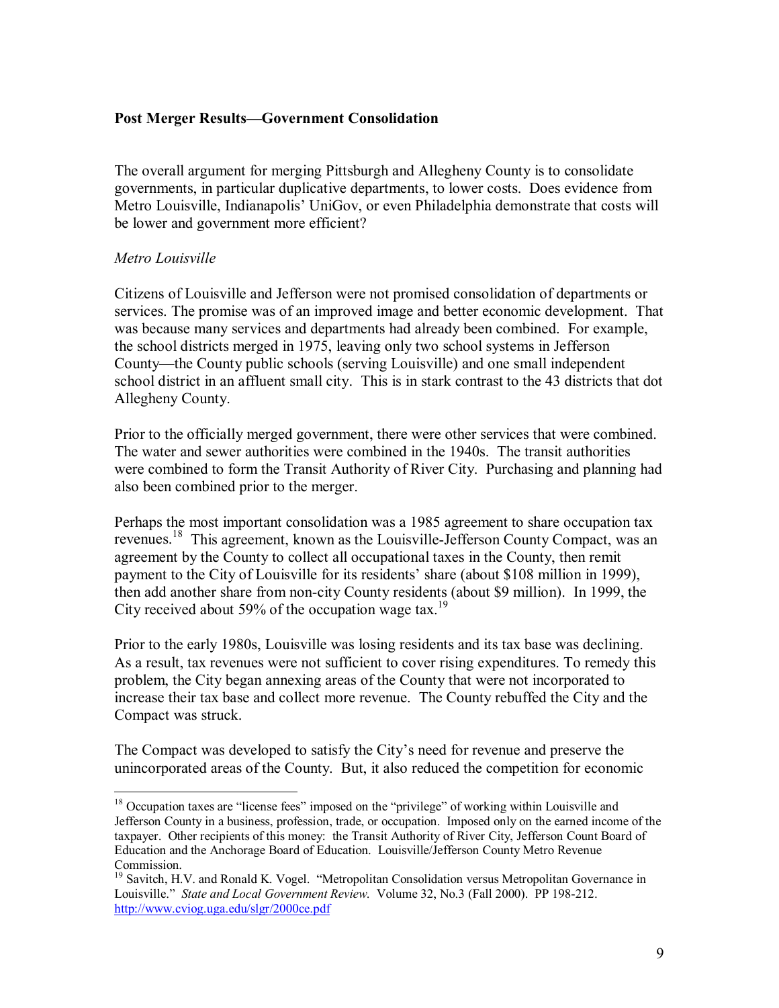## **Post Merger Results–Government Consolidation**

The overall argument for merging Pittsburgh and Allegheny County is to consolidate governments, in particular duplicative departments, to lower costs. Does evidence from Metro Louisville, Indianapolis' UniGov, or even Philadelphia demonstrate that costs will be lower and government more efficient?

#### *Metro Louisville*

 $\overline{a}$ 

Citizens of Louisville and Jefferson were not promised consolidation of departments or services. The promise was of an improved image and better economic development. That was because many services and departments had already been combined. For example, the school districts merged in 1975, leaving only two school systems in Jefferson County—the County public schools (serving Louisville) and one small independent school district in an affluent small city. This is in stark contrast to the 43 districts that dot Allegheny County.

Prior to the officially merged government, there were other services that were combined. The water and sewer authorities were combined in the 1940s. The transit authorities were combined to form the Transit Authority of River City. Purchasing and planning had also been combined prior to the merger.

Perhaps the most important consolidation was a 1985 agreement to share occupation tax revenues.18 This agreement, known as the Louisville-Jefferson County Compact, was an agreement by the County to collect all occupational taxes in the County, then remit payment to the City of Louisville for its residents' share (about \$108 million in 1999), then add another share from non-city County residents (about \$9 million). In 1999, the City received about 59% of the occupation wage tax.<sup>19</sup>

Prior to the early 1980s, Louisville was losing residents and its tax base was declining. As a result, tax revenues were not sufficient to cover rising expenditures. To remedy this problem, the City began annexing areas of the County that were not incorporated to increase their tax base and collect more revenue. The County rebuffed the City and the Compact was struck.

The Compact was developed to satisfy the City's need for revenue and preserve the unincorporated areas of the County. But, it also reduced the competition for economic

 $18$  Occupation taxes are "license fees" imposed on the "privilege" of working within Louisville and Jefferson County in a business, profession, trade, or occupation. Imposed only on the earned income of the taxpayer. Other recipients of this money: the Transit Authority of River City, Jefferson Count Board of Education and the Anchorage Board of Education. Louisville/Jefferson County Metro Revenue Commission.

<sup>&</sup>lt;sup>19</sup> Savitch, H.V. and Ronald K. Vogel. "Metropolitan Consolidation versus Metropolitan Governance in Louisville." State and Local Government Review. Volume 32, No.3 (Fall 2000). PP 198-212. http://www.cviog.uga.edu/slgr/2000ce.pdf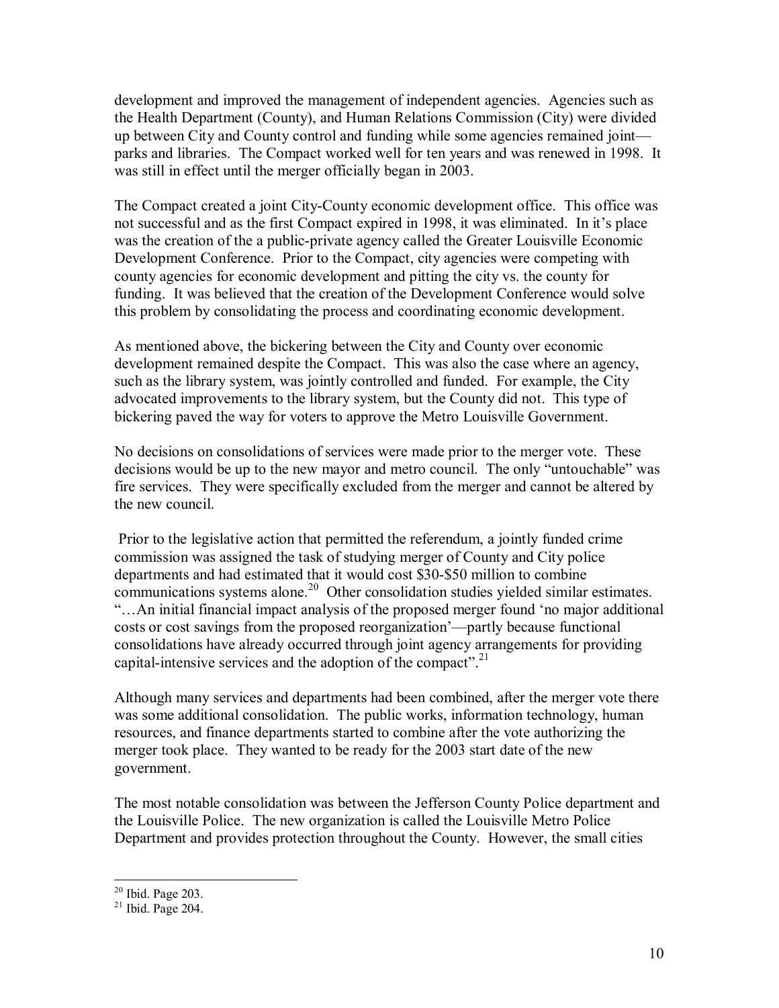development and improved the management of independent agencies. Agencies such as the Health Department (County), and Human Relations Commission (City) were divided up between City and County control and funding while some agencies remained joint parks and libraries. The Compact worked well for ten years and was renewed in 1998. It was still in effect until the merger officially began in 2003.

The Compact created a joint City-County economic development office. This office was not successful and as the first Compact expired in 1998, it was eliminated. In it's place was the creation of the a public-private agency called the Greater Louisville Economic Development Conference. Prior to the Compact, city agencies were competing with county agencies for economic development and pitting the city vs. the county for funding. It was believed that the creation of the Development Conference would solve this problem by consolidating the process and coordinating economic development.

As mentioned above, the bickering between the City and County over economic development remained despite the Compact. This was also the case where an agency, such as the library system, was jointly controlled and funded. For example, the City advocated improvements to the library system, but the County did not. This type of bickering paved the way for voters to approve the Metro Louisville Government.

No decisions on consolidations of services were made prior to the merger vote. These decisions would be up to the new mayor and metro council. The only "untouchable" was fire services. They were specifically excluded from the merger and cannot be altered by the new council.

 Prior to the legislative action that permitted the referendum, a jointly funded crime commission was assigned the task of studying merger of County and City police departments and had estimated that it would cost \$30-\$50 million to combine communications systems alone.<sup>20</sup> Other consolidation studies yielded similar estimates. ìÖAn initial financial impact analysis of the proposed merger found ëno major additional costs or cost savings from the proposed reorganization<sup>2</sup>—partly because functional consolidations have already occurred through joint agency arrangements for providing capital-intensive services and the adoption of the compact".<sup>21</sup>

Although many services and departments had been combined, after the merger vote there was some additional consolidation. The public works, information technology, human resources, and finance departments started to combine after the vote authorizing the merger took place. They wanted to be ready for the 2003 start date of the new government.

The most notable consolidation was between the Jefferson County Police department and the Louisville Police. The new organization is called the Louisville Metro Police Department and provides protection throughout the County. However, the small cities

 $\overline{a}$ 

 $20$  Ibid. Page 203.

 $21$  Ibid. Page 204.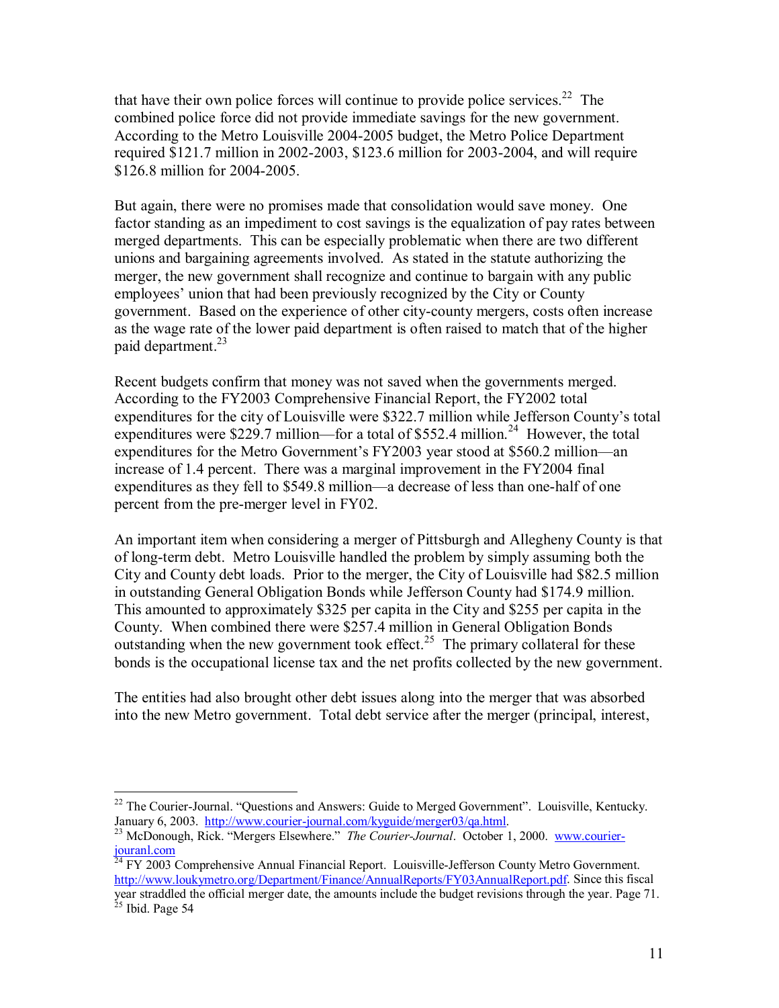that have their own police forces will continue to provide police services.<sup>22</sup> The combined police force did not provide immediate savings for the new government. According to the Metro Louisville 2004-2005 budget, the Metro Police Department required \$121.7 million in 2002-2003, \$123.6 million for 2003-2004, and will require \$126.8 million for 2004-2005.

But again, there were no promises made that consolidation would save money. One factor standing as an impediment to cost savings is the equalization of pay rates between merged departments. This can be especially problematic when there are two different unions and bargaining agreements involved. As stated in the statute authorizing the merger, the new government shall recognize and continue to bargain with any public employees' union that had been previously recognized by the City or County government. Based on the experience of other city-county mergers, costs often increase as the wage rate of the lower paid department is often raised to match that of the higher paid department.<sup>23</sup>

Recent budgets confirm that money was not saved when the governments merged. According to the FY2003 Comprehensive Financial Report, the FY2002 total expenditures for the city of Louisville were \$322.7 million while Jefferson County's total expenditures were \$229.7 million—for a total of \$552.4 million.<sup>24</sup> However, the total expenditures for the Metro Government's FY2003 year stood at \$560.2 million—an increase of 1.4 percent. There was a marginal improvement in the FY2004 final expenditures as they fell to \$549.8 million—a decrease of less than one-half of one percent from the pre-merger level in FY02.

An important item when considering a merger of Pittsburgh and Allegheny County is that of long-term debt. Metro Louisville handled the problem by simply assuming both the City and County debt loads. Prior to the merger, the City of Louisville had \$82.5 million in outstanding General Obligation Bonds while Jefferson County had \$174.9 million. This amounted to approximately \$325 per capita in the City and \$255 per capita in the County. When combined there were \$257.4 million in General Obligation Bonds outstanding when the new government took effect.<sup>25</sup> The primary collateral for these bonds is the occupational license tax and the net profits collected by the new government.

The entities had also brought other debt issues along into the merger that was absorbed into the new Metro government. Total debt service after the merger (principal, interest,

 $\overline{a}$ 

 $22$  The Courier-Journal. "Questions and Answers: Guide to Merged Government". Louisville, Kentucky. January 6, 2003. http://www.courier-journal.com/kyguide/merger03/qa.html.<br><sup>23</sup> McDonough, Rick. "Mergers Elsewhere." *The Courier-Journal*. October 1, 2000. www.courier-

jouranl.com 24 FY 2003 Comprehensive Annual Financial Report. Louisville-Jefferson County Metro Government.

http://www.loukymetro.org/Department/Finance/AnnualReports/FY03AnnualReport.pdf. Since this fiscal year straddled the official merger date, the amounts include the budget revisions through the year. Page 71.  $25$  Ibid. Page 54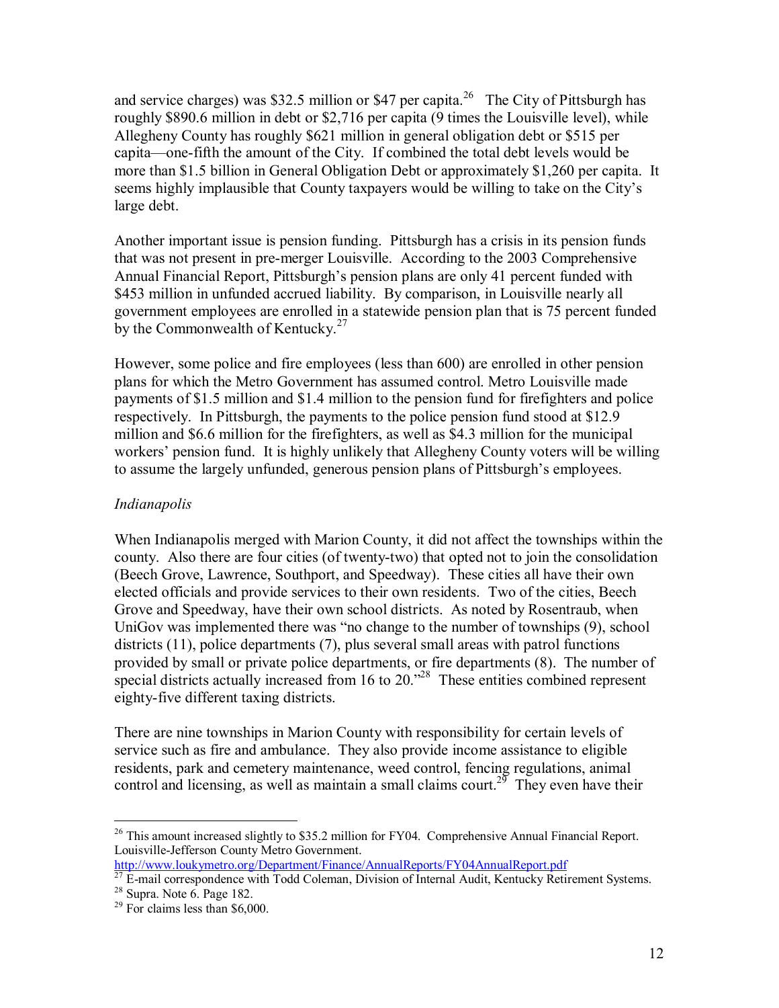and service charges) was \$32.5 million or \$47 per capita.<sup>26</sup> The City of Pittsburgh has roughly \$890.6 million in debt or \$2,716 per capita (9 times the Louisville level), while Allegheny County has roughly \$621 million in general obligation debt or \$515 per capita—one-fifth the amount of the City. If combined the total debt levels would be more than \$1.5 billion in General Obligation Debt or approximately \$1,260 per capita. It seems highly implausible that County taxpayers would be willing to take on the City's large debt.

Another important issue is pension funding. Pittsburgh has a crisis in its pension funds that was not present in pre-merger Louisville. According to the 2003 Comprehensive Annual Financial Report, Pittsburgh's pension plans are only 41 percent funded with \$453 million in unfunded accrued liability. By comparison, in Louisville nearly all government employees are enrolled in a statewide pension plan that is 75 percent funded by the Commonwealth of Kentucky.<sup>27</sup>

However, some police and fire employees (less than 600) are enrolled in other pension plans for which the Metro Government has assumed control. Metro Louisville made payments of \$1.5 million and \$1.4 million to the pension fund for firefighters and police respectively. In Pittsburgh, the payments to the police pension fund stood at \$12.9 million and \$6.6 million for the firefighters, as well as \$4.3 million for the municipal workers' pension fund. It is highly unlikely that Allegheny County voters will be willing to assume the largely unfunded, generous pension plans of Pittsburgh's employees.

# *Indianapolis*

When Indianapolis merged with Marion County, it did not affect the townships within the county. Also there are four cities (of twenty-two) that opted not to join the consolidation (Beech Grove, Lawrence, Southport, and Speedway). These cities all have their own elected officials and provide services to their own residents. Two of the cities, Beech Grove and Speedway, have their own school districts. As noted by Rosentraub, when UniGov was implemented there was "no change to the number of townships (9), school districts (11), police departments (7), plus several small areas with patrol functions provided by small or private police departments, or fire departments (8). The number of special districts actually increased from 16 to  $20.^{28}$  These entities combined represent eighty-five different taxing districts.

There are nine townships in Marion County with responsibility for certain levels of service such as fire and ambulance. They also provide income assistance to eligible residents, park and cemetery maintenance, weed control, fencing regulations, animal control and licensing, as well as maintain a small claims court.<sup>29</sup> They even have their

http://www.loukymetro.org/Department/Finance/AnnualReports/FY04AnnualReport.pdf

 $\overline{a}$  $26$  This amount increased slightly to \$35.2 million for FY04. Comprehensive Annual Financial Report. Louisville-Jefferson County Metro Government.

 $27$  E-mail correspondence with Todd Coleman, Division of Internal Audit, Kentucky Retirement Systems.

 $28$  Supra. Note 6. Page 182.

 $29$  For claims less than \$6,000.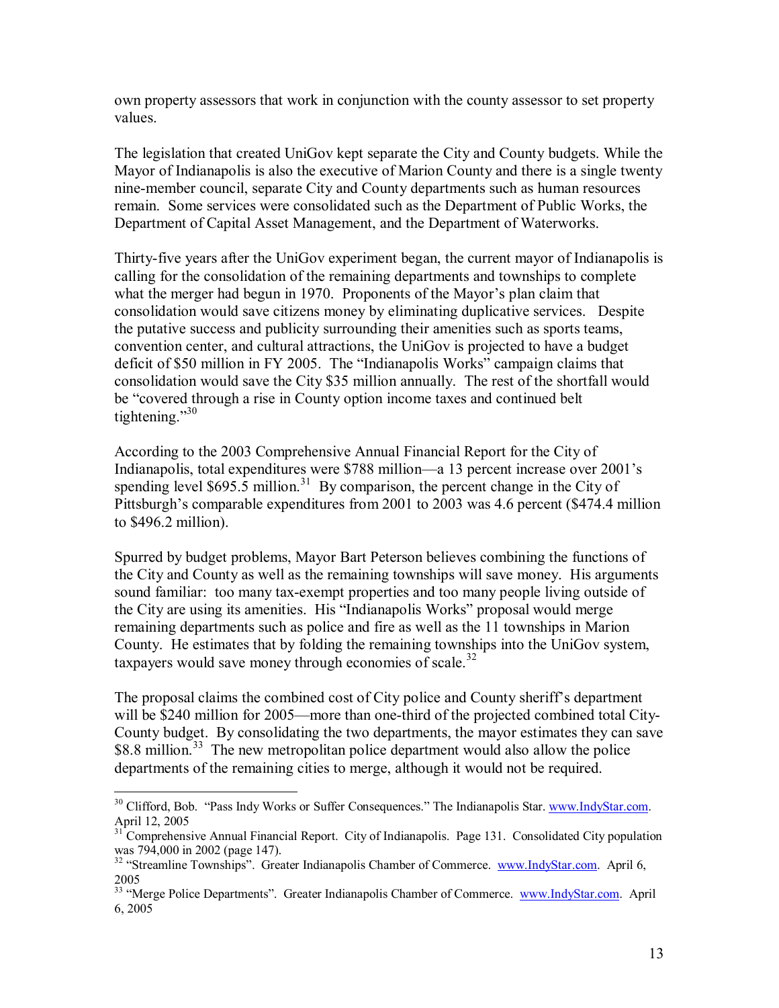own property assessors that work in conjunction with the county assessor to set property values.

The legislation that created UniGov kept separate the City and County budgets. While the Mayor of Indianapolis is also the executive of Marion County and there is a single twenty nine-member council, separate City and County departments such as human resources remain. Some services were consolidated such as the Department of Public Works, the Department of Capital Asset Management, and the Department of Waterworks.

Thirty-five years after the UniGov experiment began, the current mayor of Indianapolis is calling for the consolidation of the remaining departments and townships to complete what the merger had begun in 1970. Proponents of the Mayor's plan claim that consolidation would save citizens money by eliminating duplicative services. Despite the putative success and publicity surrounding their amenities such as sports teams, convention center, and cultural attractions, the UniGov is projected to have a budget deficit of \$50 million in FY 2005. The "Indianapolis Works" campaign claims that consolidation would save the City \$35 million annually. The rest of the shortfall would be "covered through a rise in County option income taxes and continued belt tightening. $\frac{30}{30}$ 

According to the 2003 Comprehensive Annual Financial Report for the City of Indianapolis, total expenditures were \$788 million—a 13 percent increase over 2001's spending level \$695.5 million.<sup>31</sup> By comparison, the percent change in the City of Pittsburgh's comparable expenditures from 2001 to 2003 was 4.6 percent (\$474.4 million to \$496.2 million).

Spurred by budget problems, Mayor Bart Peterson believes combining the functions of the City and County as well as the remaining townships will save money. His arguments sound familiar: too many tax-exempt properties and too many people living outside of the City are using its amenities. His "Indianapolis Works" proposal would merge remaining departments such as police and fire as well as the 11 townships in Marion County. He estimates that by folding the remaining townships into the UniGov system, taxpayers would save money through economies of scale.<sup>32</sup>

The proposal claims the combined cost of City police and County sheriff's department will be \$240 million for 2005—more than one-third of the projected combined total City-County budget. By consolidating the two departments, the mayor estimates they can save \$8.8 million.<sup>33</sup> The new metropolitan police department would also allow the police departments of the remaining cities to merge, although it would not be required.

<sup>1</sup> <sup>30</sup> Clifford, Bob. "Pass Indy Works or Suffer Consequences." The Indianapolis Star. www.IndyStar.com. April 12, 2005

<sup>&</sup>lt;sup>31</sup> Comprehensive Annual Financial Report. City of Indianapolis. Page 131. Consolidated City population was 794,000 in 2002 (page 147).

<sup>&</sup>lt;sup>32</sup> "Streamline Townships". Greater Indianapolis Chamber of Commerce. www.IndyStar.com. April 6, 2005

<sup>&</sup>lt;sup>33</sup> "Merge Police Departments". Greater Indianapolis Chamber of Commerce. www.IndyStar.com. April 6, 2005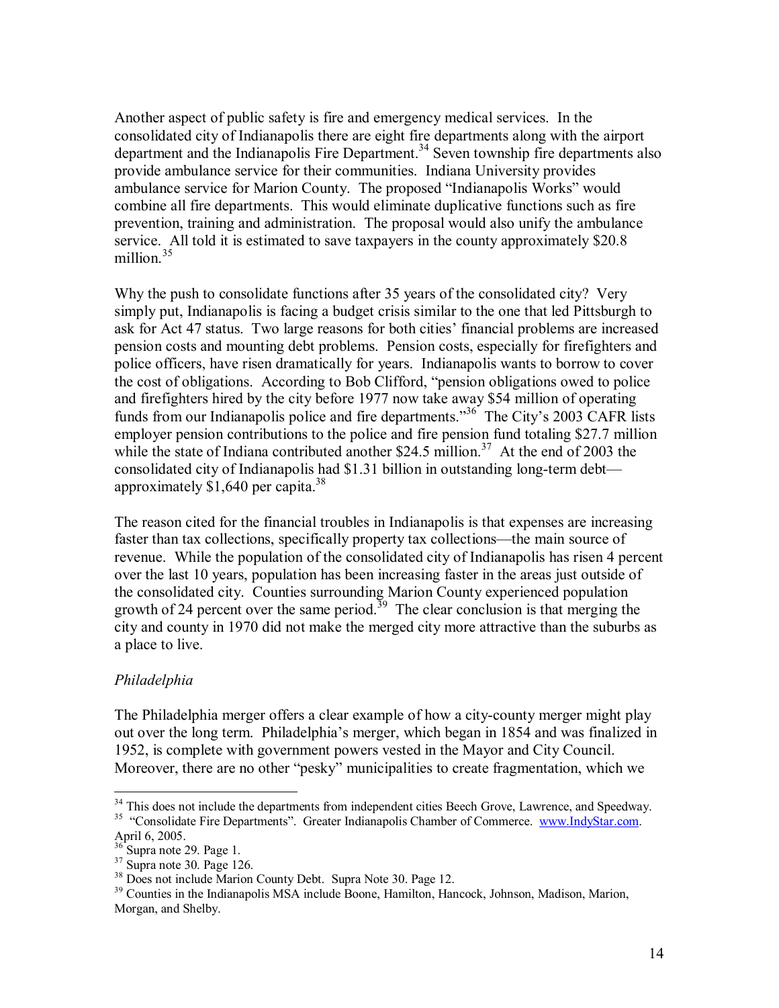Another aspect of public safety is fire and emergency medical services. In the consolidated city of Indianapolis there are eight fire departments along with the airport department and the Indianapolis Fire Department.<sup>34</sup> Seven township fire departments also provide ambulance service for their communities. Indiana University provides ambulance service for Marion County. The proposed "Indianapolis Works" would combine all fire departments. This would eliminate duplicative functions such as fire prevention, training and administration. The proposal would also unify the ambulance service. All told it is estimated to save taxpayers in the county approximately \$20.8 million.<sup>35</sup>

Why the push to consolidate functions after 35 years of the consolidated city? Very simply put, Indianapolis is facing a budget crisis similar to the one that led Pittsburgh to ask for Act 47 status. Two large reasons for both cities' financial problems are increased pension costs and mounting debt problems. Pension costs, especially for firefighters and police officers, have risen dramatically for years. Indianapolis wants to borrow to cover the cost of obligations. According to Bob Clifford, "pension obligations owed to police and firefighters hired by the city before 1977 now take away \$54 million of operating funds from our Indianapolis police and fire departments.<sup>36</sup> The City's 2003 CAFR lists employer pension contributions to the police and fire pension fund totaling \$27.7 million while the state of Indiana contributed another \$24.5 million.<sup>37</sup> At the end of 2003 the consolidated city of Indianapolis had  $$1.31$  billion in outstanding long-term debt approximately  $$1,640$  per capita.<sup>38</sup>

The reason cited for the financial troubles in Indianapolis is that expenses are increasing faster than tax collections, specifically property tax collections—the main source of revenue. While the population of the consolidated city of Indianapolis has risen 4 percent over the last 10 years, population has been increasing faster in the areas just outside of the consolidated city. Counties surrounding Marion County experienced population growth of 24 percent over the same period.<sup>39</sup> The clear conclusion is that merging the city and county in 1970 did not make the merged city more attractive than the suburbs as a place to live.

# *Philadelphia*

 $\overline{a}$ 

The Philadelphia merger offers a clear example of how a city-county merger might play out over the long term. Philadelphiaís merger, which began in 1854 and was finalized in 1952, is complete with government powers vested in the Mayor and City Council. Moreover, there are no other "pesky" municipalities to create fragmentation, which we

<sup>&</sup>lt;sup>34</sup> This does not include the departments from independent cities Beech Grove, Lawrence, and Speedway.

<sup>&</sup>lt;sup>35</sup> "Consolidate Fire Departments". Greater Indianapolis Chamber of Commerce. www.IndyStar.com. April 6, 2005.

 $36^{12}$ Supra note 29. Page 1.

 $37 \text{ Supra note } 30$ . Page 126.

<sup>&</sup>lt;sup>38</sup> Does not include Marion County Debt. Supra Note 30. Page 12.

<sup>&</sup>lt;sup>39</sup> Counties in the Indianapolis MSA include Boone, Hamilton, Hancock, Johnson, Madison, Marion, Morgan, and Shelby.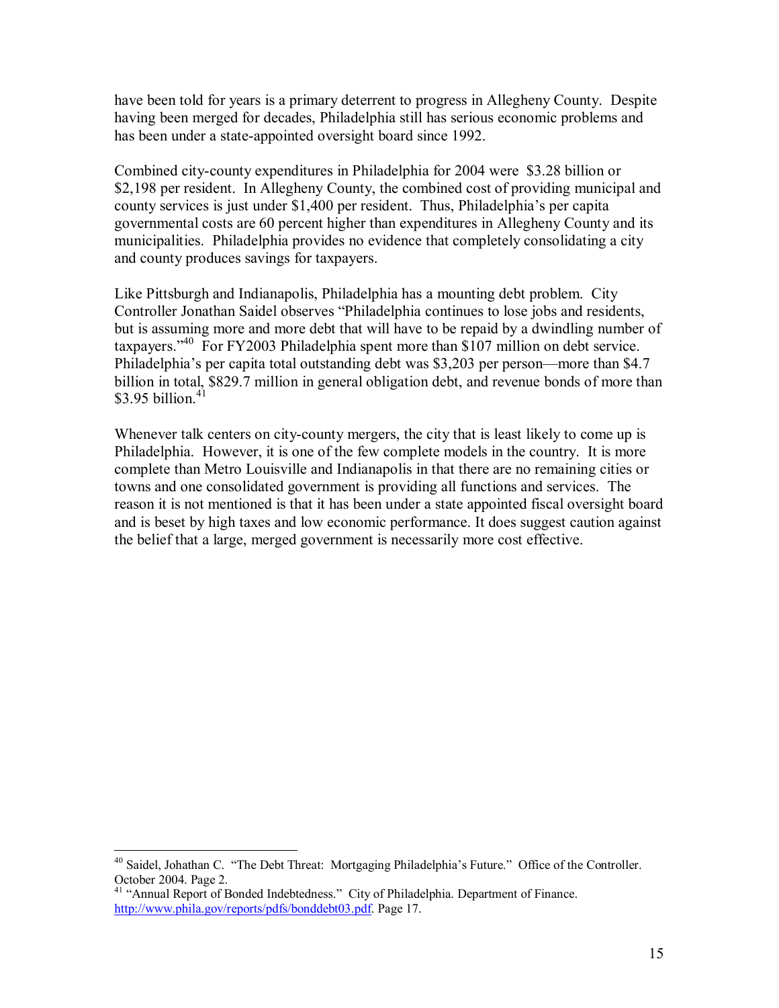have been told for years is a primary deterrent to progress in Allegheny County. Despite having been merged for decades, Philadelphia still has serious economic problems and has been under a state-appointed oversight board since 1992.

Combined city-county expenditures in Philadelphia for 2004 were \$3.28 billion or \$2,198 per resident. In Allegheny County, the combined cost of providing municipal and county services is just under \$1,400 per resident. Thus, Philadelphia's per capita governmental costs are 60 percent higher than expenditures in Allegheny County and its municipalities. Philadelphia provides no evidence that completely consolidating a city and county produces savings for taxpayers.

Like Pittsburgh and Indianapolis, Philadelphia has a mounting debt problem. City Controller Jonathan Saidel observes "Philadelphia continues to lose jobs and residents, but is assuming more and more debt that will have to be repaid by a dwindling number of taxpayers.<sup> $340$ </sup> For FY2003 Philadelphia spent more than \$107 million on debt service. Philadelphia's per capita total outstanding debt was \$3,203 per person—more than \$4.7 billion in total, \$829.7 million in general obligation debt, and revenue bonds of more than \$3.95 billion. $41$ 

Whenever talk centers on city-county mergers, the city that is least likely to come up is Philadelphia. However, it is one of the few complete models in the country. It is more complete than Metro Louisville and Indianapolis in that there are no remaining cities or towns and one consolidated government is providing all functions and services. The reason it is not mentioned is that it has been under a state appointed fiscal oversight board and is beset by high taxes and low economic performance. It does suggest caution against the belief that a large, merged government is necessarily more cost effective.

 $\overline{a}$ <sup>40</sup> Saidel, Johathan C. "The Debt Threat: Mortgaging Philadelphia's Future." Office of the Controller. October 2004. Page 2.

<sup>&</sup>lt;sup>41</sup> "Annual Report of Bonded Indebtedness." City of Philadelphia. Department of Finance. http://www.phila.gov/reports/pdfs/bonddebt03.pdf. Page 17.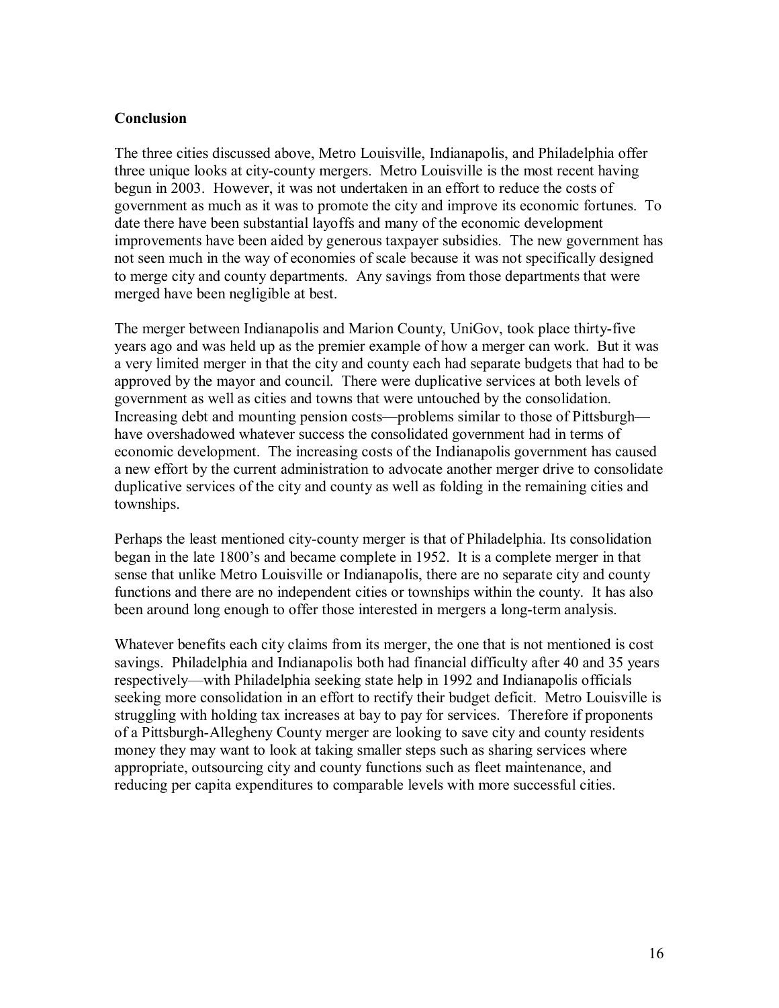#### **Conclusion**

The three cities discussed above, Metro Louisville, Indianapolis, and Philadelphia offer three unique looks at city-county mergers. Metro Louisville is the most recent having begun in 2003. However, it was not undertaken in an effort to reduce the costs of government as much as it was to promote the city and improve its economic fortunes. To date there have been substantial layoffs and many of the economic development improvements have been aided by generous taxpayer subsidies. The new government has not seen much in the way of economies of scale because it was not specifically designed to merge city and county departments. Any savings from those departments that were merged have been negligible at best.

The merger between Indianapolis and Marion County, UniGov, took place thirty-five years ago and was held up as the premier example of how a merger can work. But it was a very limited merger in that the city and county each had separate budgets that had to be approved by the mayor and council. There were duplicative services at both levels of government as well as cities and towns that were untouched by the consolidation. Increasing debt and mounting pension costs—problems similar to those of Pittsburgh have overshadowed whatever success the consolidated government had in terms of economic development. The increasing costs of the Indianapolis government has caused a new effort by the current administration to advocate another merger drive to consolidate duplicative services of the city and county as well as folding in the remaining cities and townships.

Perhaps the least mentioned city-county merger is that of Philadelphia. Its consolidation began in the late 1800's and became complete in 1952. It is a complete merger in that sense that unlike Metro Louisville or Indianapolis, there are no separate city and county functions and there are no independent cities or townships within the county. It has also been around long enough to offer those interested in mergers a long-term analysis.

Whatever benefits each city claims from its merger, the one that is not mentioned is cost savings. Philadelphia and Indianapolis both had financial difficulty after 40 and 35 years respectively—with Philadelphia seeking state help in 1992 and Indianapolis officials seeking more consolidation in an effort to rectify their budget deficit. Metro Louisville is struggling with holding tax increases at bay to pay for services. Therefore if proponents of a Pittsburgh-Allegheny County merger are looking to save city and county residents money they may want to look at taking smaller steps such as sharing services where appropriate, outsourcing city and county functions such as fleet maintenance, and reducing per capita expenditures to comparable levels with more successful cities.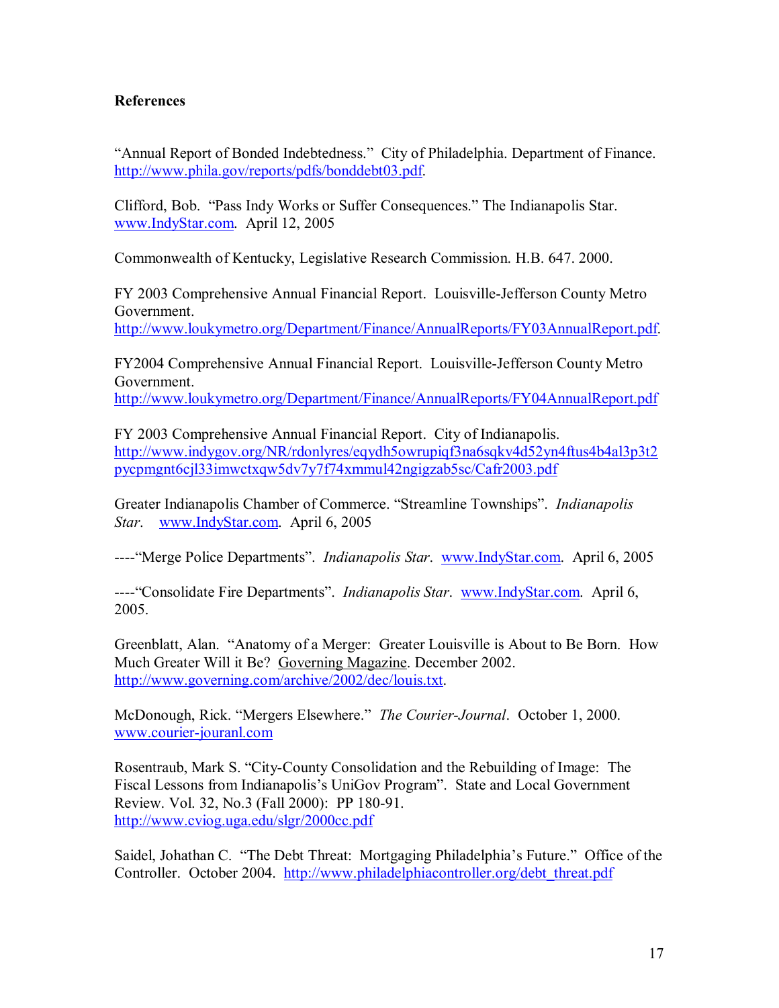## **References**

"Annual Report of Bonded Indebtedness." City of Philadelphia. Department of Finance. http://www.phila.gov/reports/pdfs/bonddebt03.pdf.

Clifford, Bob. "Pass Indy Works or Suffer Consequences." The Indianapolis Star. www.IndyStar.com. April 12, 2005

Commonwealth of Kentucky, Legislative Research Commission. H.B. 647. 2000.

FY 2003 Comprehensive Annual Financial Report. Louisville-Jefferson County Metro Government. http://www.loukymetro.org/Department/Finance/AnnualReports/FY03AnnualReport.pdf.

FY2004 Comprehensive Annual Financial Report. Louisville-Jefferson County Metro Government.

http://www.loukymetro.org/Department/Finance/AnnualReports/FY04AnnualReport.pdf

FY 2003 Comprehensive Annual Financial Report. City of Indianapolis. http://www.indygov.org/NR/rdonlyres/eqydh5owrupiqf3na6sqkv4d52yn4ftus4b4al3p3t2 pycpmgnt6cjl33imwctxqw5dv7y7f74xmmul42ngigzab5sc/Cafr2003.pdf

Greater Indianapolis Chamber of Commerce. "Streamline Townships". *Indianapolis Star*. www.IndyStar.com. April 6, 2005

----<sup>\*</sup>Merge Police Departments". *Indianapolis Star.* www.IndyStar.com. April 6, 2005

----<sup>\*</sup>Consolidate Fire Departments". *Indianapolis Star.* www.IndyStar.com. April 6, 2005.

Greenblatt, Alan. "Anatomy of a Merger: Greater Louisville is About to Be Born. How Much Greater Will it Be? Governing Magazine. December 2002. http://www.governing.com/archive/2002/dec/louis.txt.

McDonough, Rick. "Mergers Elsewhere." *The Courier-Journal*. October 1, 2000. www.courier-jouranl.com

Rosentraub, Mark S. "City-County Consolidation and the Rebuilding of Image: The Fiscal Lessons from Indianapolis's UniGov Program". State and Local Government Review. Vol. 32, No.3 (Fall 2000): PP 180-91. http://www.cviog.uga.edu/slgr/2000cc.pdf

Saidel, Johathan C. "The Debt Threat: Mortgaging Philadelphia's Future." Office of the Controller. October 2004. http://www.philadelphiacontroller.org/debt\_threat.pdf